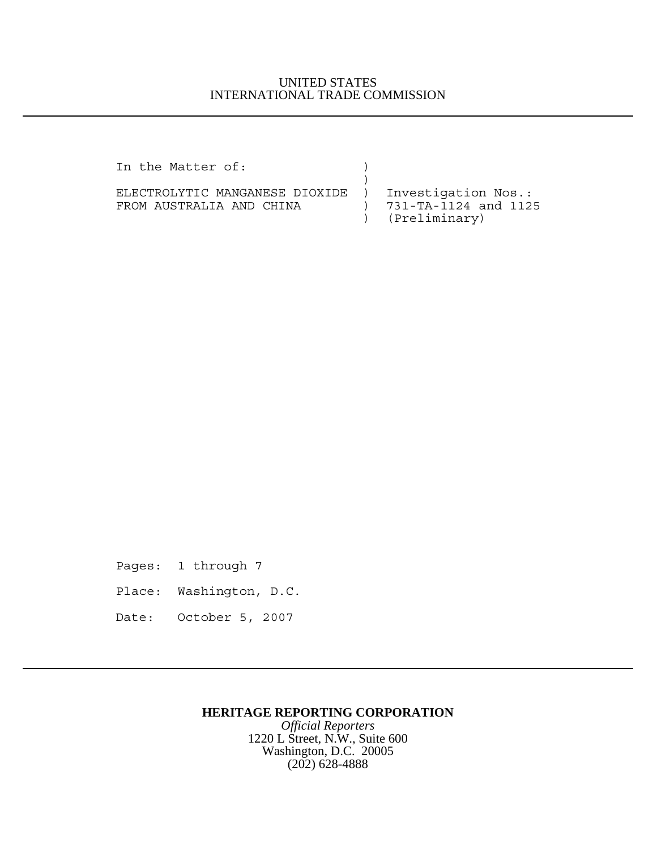## UNITED STATES INTERNATIONAL TRADE COMMISSION

In the Matter of:  $)$ 

 $)$ ELECTROLYTIC MANGANESE DIOXIDE ) Investigation Nos.:<br>FROM AUSTRALIA AND CHINA ) 731-TA-1124 and 1125 FROM AUSTRALIA AND CHINA  $\qquad$  )

) (Preliminary)

Pages: 1 through 7 Place: Washington, D.C. Date: October 5, 2007

## **HERITAGE REPORTING CORPORATION**

*Official Reporters* 1220 L Street, N.W., Suite 600 Washington, D.C. 20005 (202) 628-4888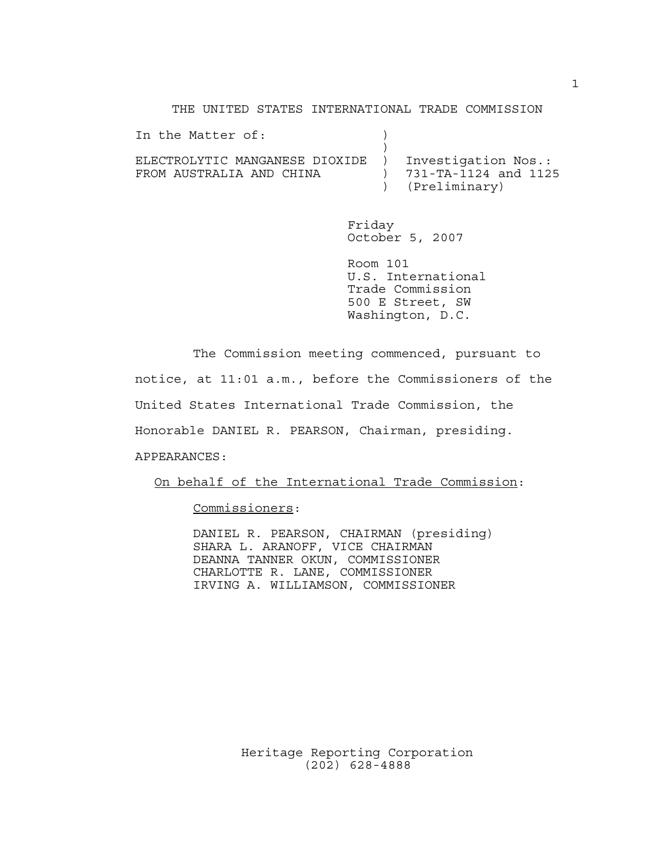THE UNITED STATES INTERNATIONAL TRADE COMMISSION

| In the Matter of:                |                      |
|----------------------------------|----------------------|
|                                  |                      |
| ELECTROLYTIC MANGANESE DIOXIDE ) | Investigation Nos.:  |
| FROM AUSTRALIA AND CHINA         | 731-TA-1124 and 1125 |
|                                  | ) (Preliminary)      |

Friday October 5, 2007

Room 101 U.S. International Trade Commission 500 E Street, SW Washington, D.C.

The Commission meeting commenced, pursuant to notice, at 11:01 a.m., before the Commissioners of the United States International Trade Commission, the Honorable DANIEL R. PEARSON, Chairman, presiding. APPEARANCES:

On behalf of the International Trade Commission:

Commissioners:

DANIEL R. PEARSON, CHAIRMAN (presiding) SHARA L. ARANOFF, VICE CHAIRMAN DEANNA TANNER OKUN, COMMISSIONER CHARLOTTE R. LANE, COMMISSIONER IRVING A. WILLIAMSON, COMMISSIONER

> Heritage Reporting Corporation (202) 628-4888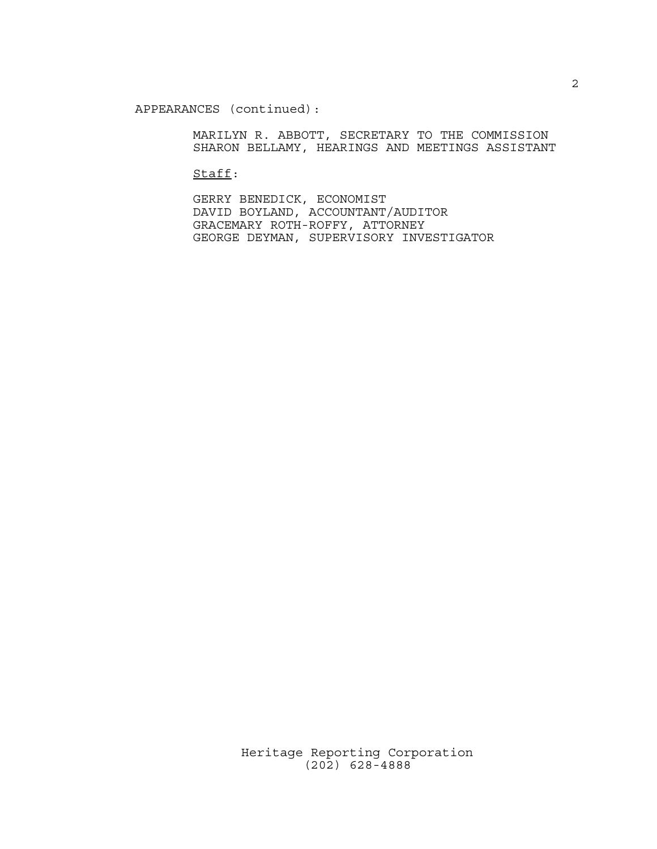APPEARANCES (continued):

MARILYN R. ABBOTT, SECRETARY TO THE COMMISSION SHARON BELLAMY, HEARINGS AND MEETINGS ASSISTANT

Staff:

GERRY BENEDICK, ECONOMIST DAVID BOYLAND, ACCOUNTANT/AUDITOR GRACEMARY ROTH-ROFFY, ATTORNEY GEORGE DEYMAN, SUPERVISORY INVESTIGATOR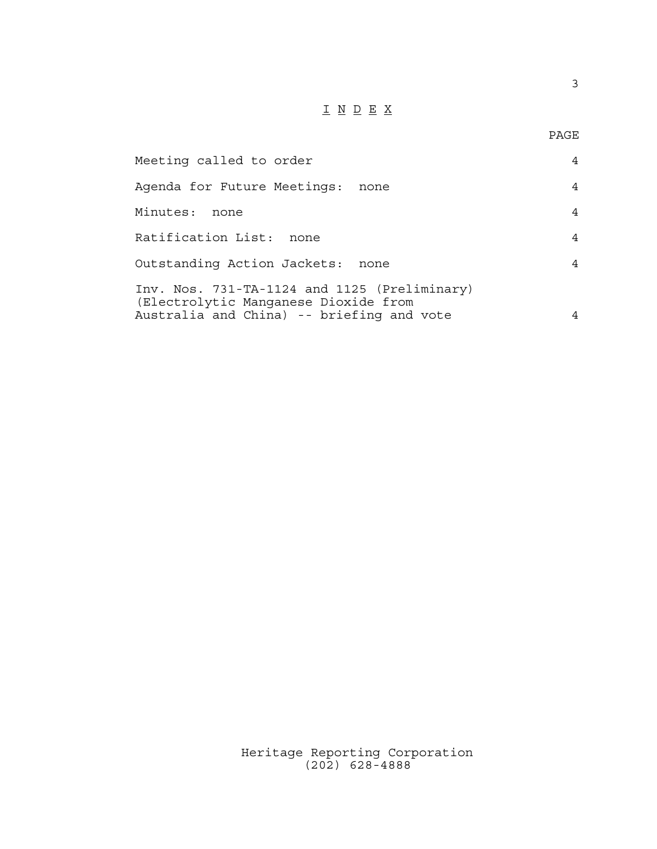## I N D E X

3

| Meeting called to order                                                                                                           | 4              |
|-----------------------------------------------------------------------------------------------------------------------------------|----------------|
| Agenda for Future Meetings: none                                                                                                  | $\overline{4}$ |
| Minutes: none                                                                                                                     | $\overline{4}$ |
| Ratification List: none                                                                                                           | $\overline{4}$ |
| Outstanding Action Jackets: none                                                                                                  | $\overline{4}$ |
| Inv. Nos. 731-TA-1124 and 1125 (Preliminary)<br>(Electrolytic Manganese Dioxide from<br>Australia and China) -- briefing and vote | 4              |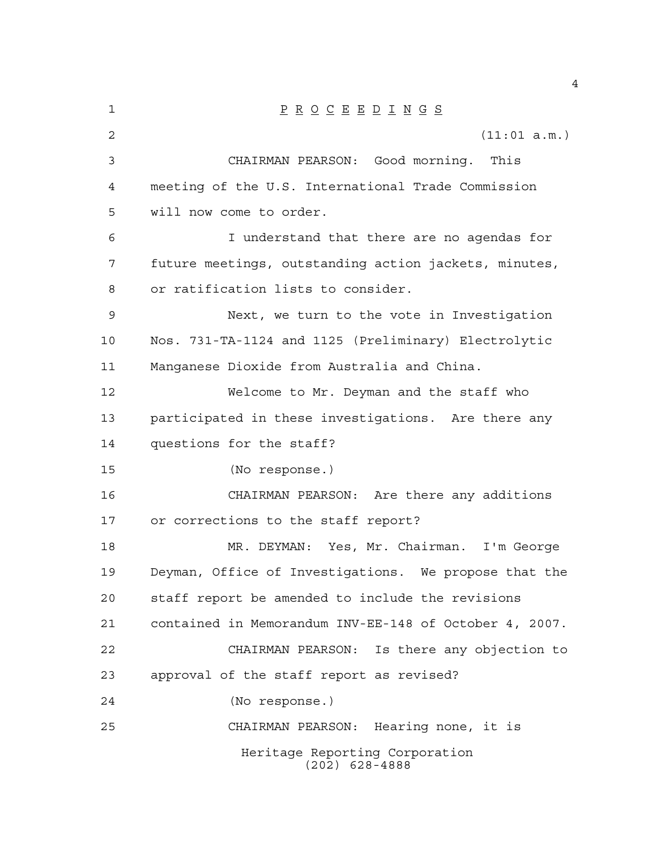| 1  | $\underline{P} \underline{R} \underline{O} \underline{C} \underline{E} \underline{E} \underline{D} \underline{I} \underline{N} \underline{G} \underline{S}$ |
|----|-------------------------------------------------------------------------------------------------------------------------------------------------------------|
| 2  | (11:01 a.m.)                                                                                                                                                |
| 3  | CHAIRMAN PEARSON: Good morning.<br>This                                                                                                                     |
| 4  | meeting of the U.S. International Trade Commission                                                                                                          |
| 5  | will now come to order.                                                                                                                                     |
| 6  | I understand that there are no agendas for                                                                                                                  |
| 7  | future meetings, outstanding action jackets, minutes,                                                                                                       |
| 8  | or ratification lists to consider.                                                                                                                          |
| 9  | Next, we turn to the vote in Investigation                                                                                                                  |
| 10 | Nos. 731-TA-1124 and 1125 (Preliminary) Electrolytic                                                                                                        |
| 11 | Manganese Dioxide from Australia and China.                                                                                                                 |
| 12 | Welcome to Mr. Deyman and the staff who                                                                                                                     |
| 13 | participated in these investigations. Are there any                                                                                                         |
| 14 | questions for the staff?                                                                                                                                    |
| 15 | (No response.)                                                                                                                                              |
| 16 | CHAIRMAN PEARSON: Are there any additions                                                                                                                   |
| 17 | or corrections to the staff report?                                                                                                                         |
| 18 | MR. DEYMAN: Yes, Mr. Chairman. I'm George                                                                                                                   |
| 19 | Deyman, Office of Investigations. We propose that the                                                                                                       |
| 20 | staff report be amended to include the revisions                                                                                                            |
| 21 | contained in Memorandum INV-EE-148 of October 4, 2007.                                                                                                      |
| 22 | Is there any objection to<br>CHAIRMAN PEARSON:                                                                                                              |
| 23 | approval of the staff report as revised?                                                                                                                    |
| 24 | (No response.)                                                                                                                                              |
| 25 | CHAIRMAN PEARSON: Hearing none, it is                                                                                                                       |
|    | Heritage Reporting Corporation<br>$(202)$ 628-4888                                                                                                          |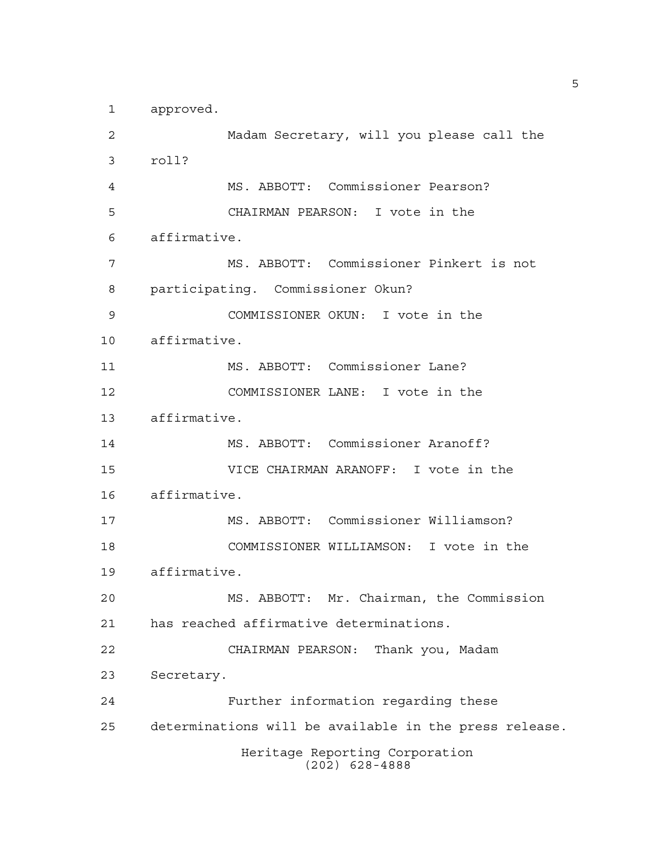approved.

Heritage Reporting Corporation (202) 628-4888 Madam Secretary, will you please call the roll? MS. ABBOTT: Commissioner Pearson? CHAIRMAN PEARSON: I vote in the affirmative. MS. ABBOTT: Commissioner Pinkert is not participating. Commissioner Okun? COMMISSIONER OKUN: I vote in the affirmative. MS. ABBOTT: Commissioner Lane? COMMISSIONER LANE: I vote in the affirmative. MS. ABBOTT: Commissioner Aranoff? VICE CHAIRMAN ARANOFF: I vote in the affirmative. MS. ABBOTT: Commissioner Williamson? COMMISSIONER WILLIAMSON: I vote in the affirmative. MS. ABBOTT: Mr. Chairman, the Commission has reached affirmative determinations. CHAIRMAN PEARSON: Thank you, Madam Secretary. Further information regarding these determinations will be available in the press release.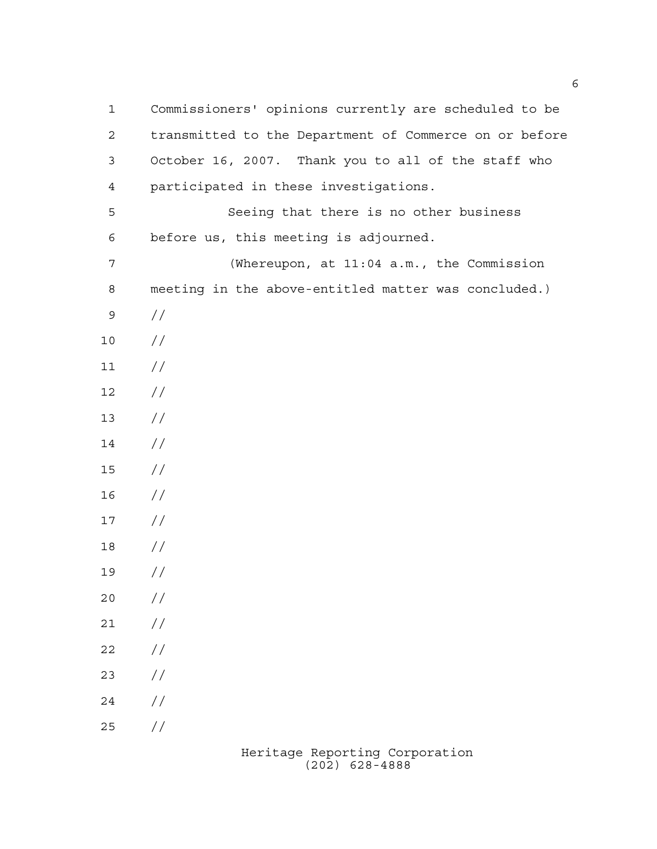| $\mathbf{1}$   | Commissioners' opinions currently are scheduled to be  |
|----------------|--------------------------------------------------------|
| $\overline{a}$ | transmitted to the Department of Commerce on or before |
| 3              | October 16, 2007. Thank you to all of the staff who    |
| $\overline{4}$ | participated in these investigations.                  |
| 5              | Seeing that there is no other business                 |
| 6              | before us, this meeting is adjourned.                  |
| 7              | (Whereupon, at 11:04 a.m., the Commission              |
| 8              | meeting in the above-entitled matter was concluded.)   |
| 9              | $\frac{1}{2}$                                          |
| 10             | $\frac{1}{2}$                                          |
| 11             | $\frac{1}{2}$                                          |
| 12             | $\frac{1}{2}$                                          |
| 13             | $\frac{1}{2}$                                          |
| 14             | $\frac{1}{2}$                                          |
| 15             | $\frac{1}{2}$                                          |
| 16             | $\frac{1}{2}$                                          |
| 17             | $\frac{1}{2}$                                          |
| 18             | $\frac{1}{2}$                                          |
| 19             | $\frac{1}{2}$                                          |
| 20             | $\frac{1}{2}$                                          |
| 21             | $\frac{1}{2}$                                          |
| 22             | $\frac{1}{2}$                                          |
| 23             | $\frac{1}{2}$                                          |
| 24             | $\frac{1}{2}$                                          |
| 25             | //                                                     |
|                |                                                        |

Heritage Reporting Corporation (202) 628-4888